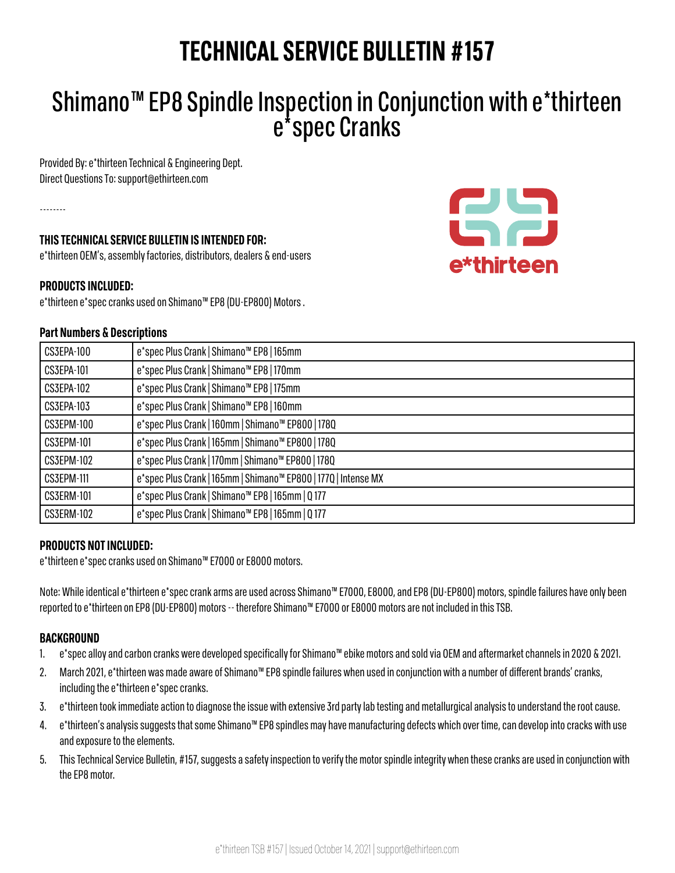# **TECHNICAL SERVICE BULLETIN #157**

# Shimano™ EP8 Spindle Inspection in Conjunction with e\*thirteen e\*spec Cranks

CH.

e\*thirteen

Provided By: e\*thirteen Technical & Engineering Dept. Direct Questions To: support@ethirteen.com

--------

# **THIS TECHNICAL SERVICE BULLETIN IS INTENDED FOR:**

e\*thirteen OEM's, assembly factories, distributors, dealers & end-users

# **PRODUCTS INCLUDED:**

e\*thirteen e\*spec cranks used on Shimano™ EP8 (DU-EP800) Motors .

#### **Part Numbers & Descriptions**

| CS3EPA-100        | e*spec Plus Crank   Shimano <sup>™</sup> EP8   165mm           |
|-------------------|----------------------------------------------------------------|
| <b>CS3EPA-101</b> | e*spec Plus Crank   Shimano <sup>™</sup> EP8   170mm           |
| CS3EPA-102        | e*spec Plus Crank   Shimano <sup>™</sup> EP8   175mm           |
| CS3EPA-103        | e*spec Plus Crank   Shimano <sup>™</sup> EP8   160mm           |
| CS3EPM-100        | e*spec Plus Crank   160mm   Shimano™ EP800   1780              |
| <b>CS3EPM-101</b> | e*spec Plus Crank   165mm   Shimano™ EP800   1780              |
| CS3EPM-102        | e*spec Plus Crank   170mm   Shimano™ EP800   1780              |
| <b>CS3EPM-111</b> | e*spec Plus Crank   165mm   Shimano™ EP800   1770   Intense MX |
| <b>CS3ERM-101</b> | e*spec Plus Crank   Shimano <sup>™</sup> EP8   165mm   Q 177   |
| CS3ERM-102        | e*spec Plus Crank   Shimano <sup>™</sup> EP8   165mm   Q 177   |

# **PRODUCTS NOT INCLUDED:**

e\*thirteen e\*spec cranks used on Shimano™ E7000 or E8000 motors.

Note: While identical e\*thirteen e\*spec crank arms are used across Shimano™ E7000, E8000, and EP8 (DU-EP800) motors, spindle failures have only been reported to e\*thirteen on EP8 (DU-EP800) motors -- therefore Shimano™ E7000 or E8000 motors are not included in this TSB.

#### **BACKGROUND**

- 1. e\*spec alloy and carbon cranks were developed specifically for Shimano™ ebike motors and sold via OEM and aftermarket channels in 2020 & 2021.
- 2. March 2021, e\*thirteen was made aware of Shimano™ EP8 spindle failures when used in conjunction with a number of different brands' cranks, including the e\*thirteen e\*spec cranks.
- 3. e\*thirteen took immediate action to diagnose the issue with extensive 3rd party lab testing and metallurgical analysis to understand the root cause.
- 4. e\*thirteen's analysis suggests that some Shimano™ EP8 spindles may have manufacturing defects which over time, can develop into cracks with use and exposure to the elements.
- 5. This Technical Service Bulletin, #157, suggests a safety inspection to verify the motor spindle integrity when these cranks are used in conjunction with the EP8 motor.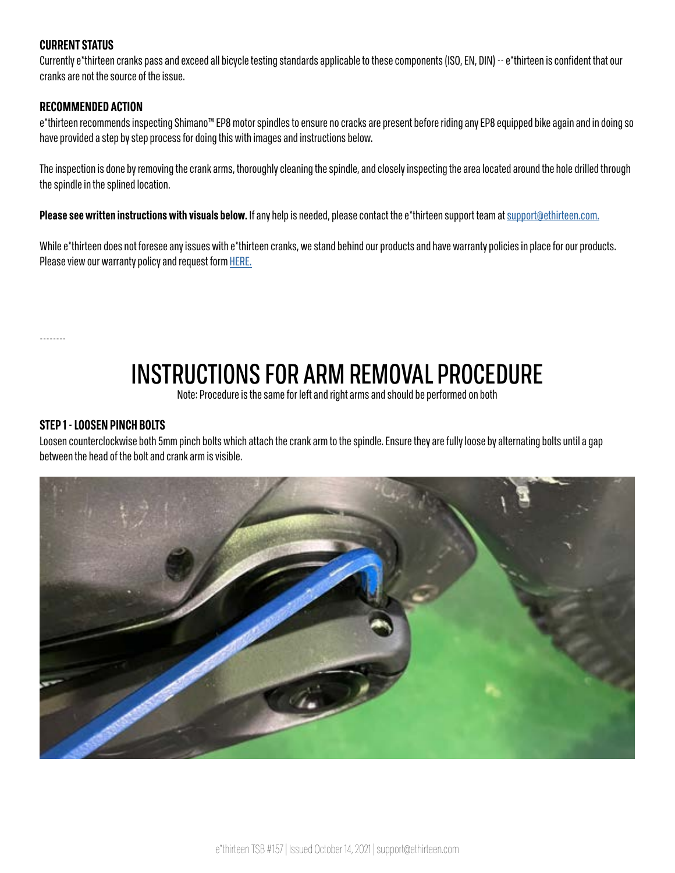# **CURRENT STATUS**

Currently e\*thirteen cranks pass and exceed all bicycle testing standards applicable to these components (ISO, EN, DIN) -- e\*thirteen is confident that our cranks are not the source of the issue.

#### **RECOMMENDED ACTION**

e\*thirteen recommends inspecting Shimano™ EP8 motor spindles to ensure no cracks are present before riding any EP8 equipped bike again and in doing so have provided a step by step process for doing this with images and instructions below.

The inspection is done by removing the crank arms, thoroughly cleaning the spindle, and closely inspecting the area located around the hole drilled through the spindle in the splined location.

**Please see written instructions with visuals below.** If any help is needed, please contact the e\*thirteen support team at [support@ethirteen.com.](mailto:support%40ethirteen.com.?subject=)

While e\*thirteen does not foresee any issues with e\*thirteen cranks, we stand behind our products and have warranty policies in place for our products. Please view our warranty policy and request form [HERE.](https://support.ethirteen.com/hc/en-us/sections/360008692072-Warranty-Policies-Warranty-Request-Form)

--------

# INSTRUCTIONS FOR ARM REMOVAL PROCEDURE

Note: Procedure is the same for left and right arms and should be performed on both

#### **STEP 1 - LOOSEN PINCH BOLTS**

Loosen counterclockwise both 5mm pinch bolts which attach the crank arm to the spindle. Ensure they are fully loose by alternating bolts until a gap between the head of the bolt and crank arm is visible.

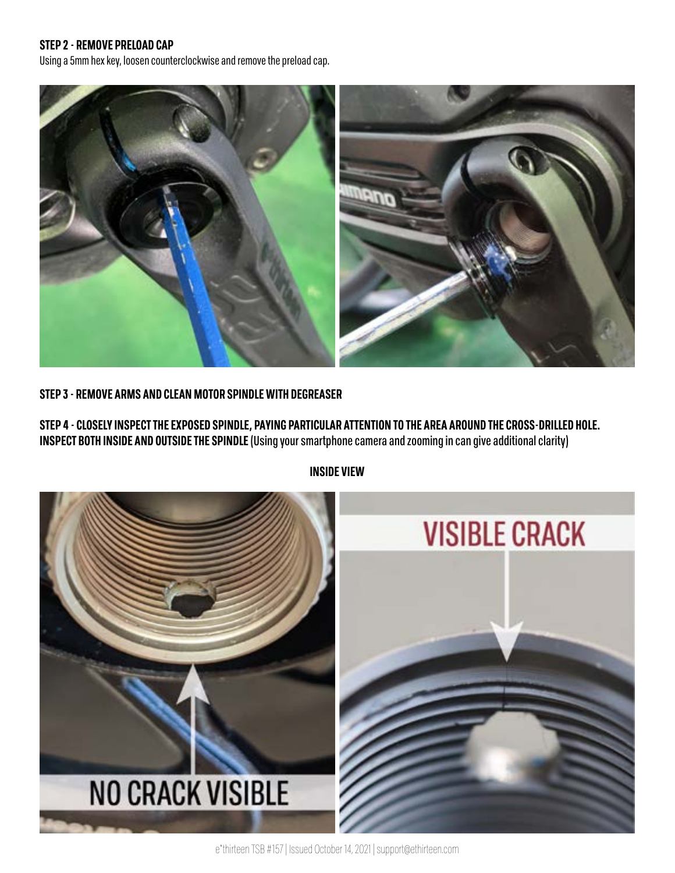#### **STEP 2 - REMOVE PRELOAD CAP**

Using a 5mm hex key, loosen counterclockwise and remove the preload cap.



#### **STEP 3 - REMOVE ARMS AND CLEAN MOTOR SPINDLE WITH DEGREASER**

**STEP 4 - CLOSELY INSPECT THE EXPOSED SPINDLE, PAYING PARTICULAR ATTENTION TO THE AREA AROUND THE CROSS-DRILLED HOLE. INSPECT BOTH INSIDE AND OUTSIDE THE SPINDLE** (Using your smartphone camera and zooming in can give additional clarity)



**INSIDE VIEW**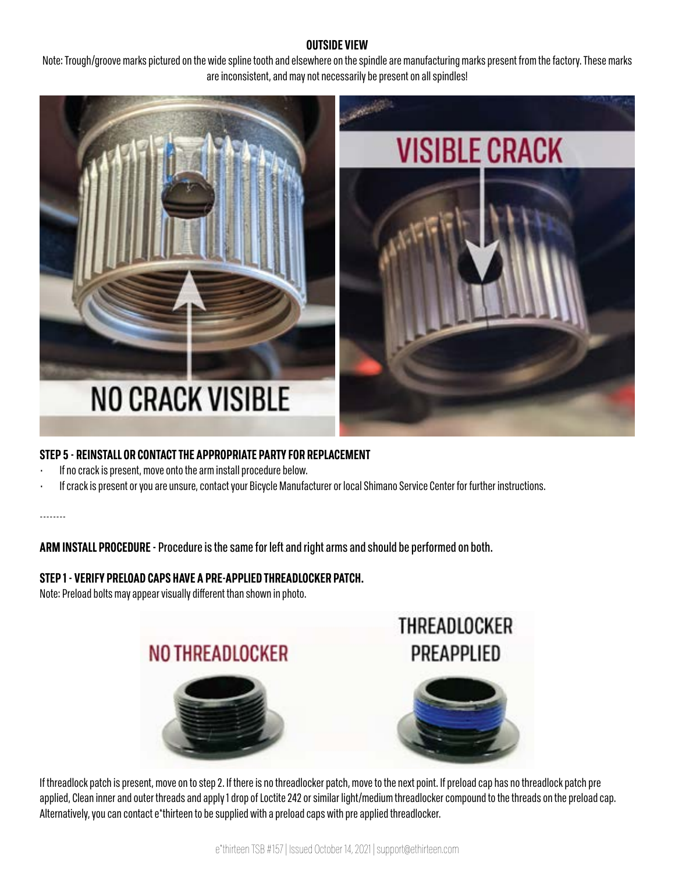#### **OUTSIDE VIEW**

Note: Trough/groove marks pictured on the wide spline tooth and elsewhere on the spindle are manufacturing marks present from the factory. These marks are inconsistent, and may not necessarily be present on all spindles!



# **STEP 5 - REINSTALL OR CONTACT THE APPROPRIATE PARTY FOR REPLACEMENT**

- If no crack is present, move onto the arm install procedure below.
- If crack is present or you are unsure, contact your Bicycle Manufacturer or local Shimano Service Center for further instructions.

--------

**ARM INSTALL PROCEDURE -** Procedure is the same for left and right arms and should be performed on both.

# **STEP 1 - VERIFY PRELOAD CAPS HAVE A PRE-APPLIED THREADLOCKER PATCH.**

Note: Preload bolts may appear visually different than shown in photo.



If threadlock patch is present, move on to step 2. If there is no threadlocker patch, move to the next point. If preload cap has no threadlock patch pre applied, Clean inner and outer threads and apply 1 drop of Loctite 242 or similar light/medium threadlocker compound to the threads on the preload cap. Alternatively, you can contact e\*thirteen to be supplied with a preload caps with pre applied threadlocker.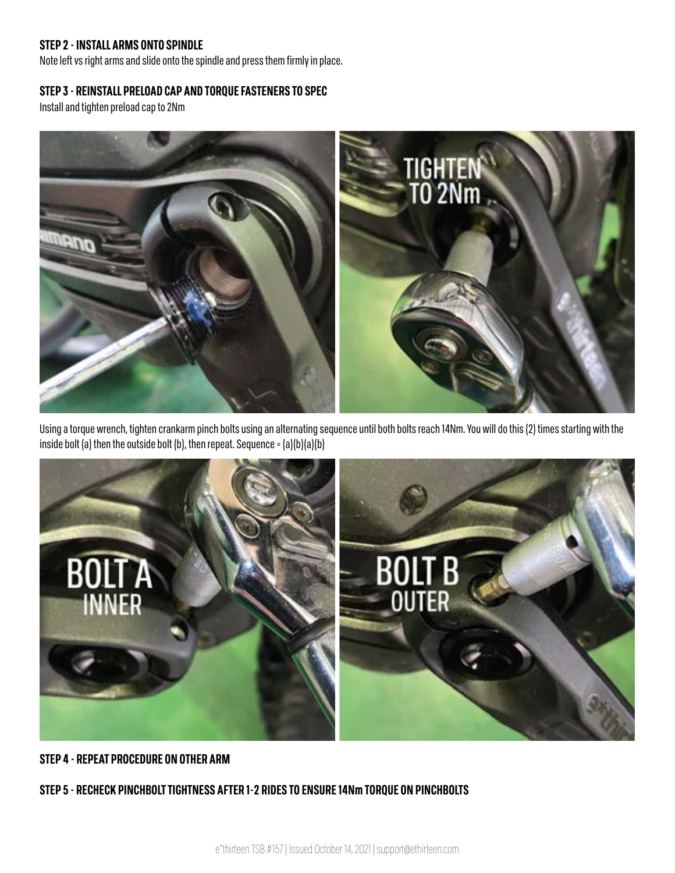#### **STEP 2 - INSTALL ARMS ONTO SPINDLE**

Note left vs right arms and slide onto the spindle and press them firmly in place.

#### **STEP 3 - REINSTALL PRELOAD CAP AND TORQUE FASTENERS TO SPEC**

Install and tighten preload cap to 2Nm



Using a torque wrench, tighten crankarm pinch bolts using an alternating sequence until both bolts reach 14Nm. You will do this (2) times starting with the inside bolt (a) then the outside bolt (b), then repeat. Sequence =  $(a)(b)(a)(b)$ 



# **STEP 4 - REPEAT PROCEDURE ON OTHER ARM**

**STEP 5 - RECHECK PINCHBOLT TIGHTNESS AFTER 1-2 RIDES TO ENSURE 14Nm TORQUE ON PINCHBOLTS**